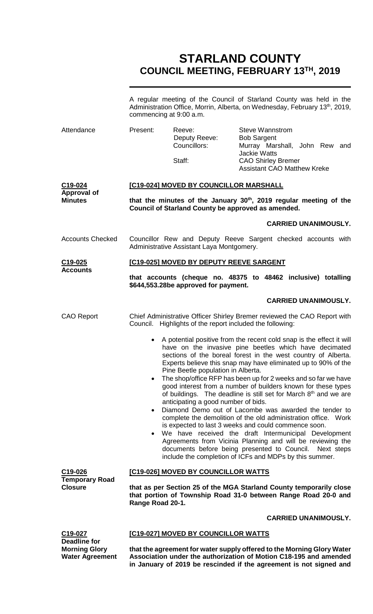# **STARLAND COUNTY COUNCIL MEETING, FEBRUARY 13TH, 2019**

|                                                | commencing at 9:00 a.m.                                                                                                                                   |                                                                           | A regular meeting of the Council of Starland County was held in the<br>Administration Office, Morrin, Alberta, on Wednesday, February 13 <sup>th</sup> , 2019,                                                                                                                                                                                                                                                                                                                                                                                                                                                                                                                                                                                                                                                                                                                                              |
|------------------------------------------------|-----------------------------------------------------------------------------------------------------------------------------------------------------------|---------------------------------------------------------------------------|-------------------------------------------------------------------------------------------------------------------------------------------------------------------------------------------------------------------------------------------------------------------------------------------------------------------------------------------------------------------------------------------------------------------------------------------------------------------------------------------------------------------------------------------------------------------------------------------------------------------------------------------------------------------------------------------------------------------------------------------------------------------------------------------------------------------------------------------------------------------------------------------------------------|
| Attendance                                     | Present:                                                                                                                                                  | Reeve:<br>Deputy Reeve:<br>Councillors:                                   | <b>Steve Wannstrom</b><br><b>Bob Sargent</b><br>Murray Marshall, John Rew and<br><b>Jackie Watts</b>                                                                                                                                                                                                                                                                                                                                                                                                                                                                                                                                                                                                                                                                                                                                                                                                        |
|                                                |                                                                                                                                                           | Staff:                                                                    | <b>CAO Shirley Bremer</b><br><b>Assistant CAO Matthew Kreke</b>                                                                                                                                                                                                                                                                                                                                                                                                                                                                                                                                                                                                                                                                                                                                                                                                                                             |
| C19-024                                        | [C19-024] MOVED BY COUNCILLOR MARSHALL                                                                                                                    |                                                                           |                                                                                                                                                                                                                                                                                                                                                                                                                                                                                                                                                                                                                                                                                                                                                                                                                                                                                                             |
| <b>Approval of</b><br><b>Minutes</b>           | that the minutes of the January 30 <sup>th</sup> , 2019 regular meeting of the<br>Council of Starland County be approved as amended.                      |                                                                           |                                                                                                                                                                                                                                                                                                                                                                                                                                                                                                                                                                                                                                                                                                                                                                                                                                                                                                             |
|                                                |                                                                                                                                                           |                                                                           | <b>CARRIED UNANIMOUSLY.</b>                                                                                                                                                                                                                                                                                                                                                                                                                                                                                                                                                                                                                                                                                                                                                                                                                                                                                 |
| <b>Accounts Checked</b>                        |                                                                                                                                                           | Administrative Assistant Laya Montgomery.                                 | Councillor Rew and Deputy Reeve Sargent checked accounts with                                                                                                                                                                                                                                                                                                                                                                                                                                                                                                                                                                                                                                                                                                                                                                                                                                               |
| C <sub>19</sub> -025<br><b>Accounts</b>        |                                                                                                                                                           | [C19-025] MOVED BY DEPUTY REEVE SARGENT                                   |                                                                                                                                                                                                                                                                                                                                                                                                                                                                                                                                                                                                                                                                                                                                                                                                                                                                                                             |
|                                                |                                                                                                                                                           | \$644,553.28be approved for payment.                                      | that accounts (cheque no. 48375 to 48462 inclusive) totalling                                                                                                                                                                                                                                                                                                                                                                                                                                                                                                                                                                                                                                                                                                                                                                                                                                               |
|                                                |                                                                                                                                                           |                                                                           | <b>CARRIED UNANIMOUSLY.</b>                                                                                                                                                                                                                                                                                                                                                                                                                                                                                                                                                                                                                                                                                                                                                                                                                                                                                 |
| <b>CAO Report</b>                              |                                                                                                                                                           | Council. Highlights of the report included the following:                 | Chief Administrative Officer Shirley Bremer reviewed the CAO Report with                                                                                                                                                                                                                                                                                                                                                                                                                                                                                                                                                                                                                                                                                                                                                                                                                                    |
|                                                |                                                                                                                                                           | Pine Beetle population in Alberta.<br>anticipating a good number of bids. | A potential positive from the recent cold snap is the effect it will<br>have on the invasive pine beetles which have decimated<br>sections of the boreal forest in the west country of Alberta.<br>Experts believe this snap may have eliminated up to 90% of the<br>The shop/office RFP has been up for 2 weeks and so far we have<br>good interest from a number of builders known for these types<br>of buildings. The deadline is still set for March 8th and we are<br>Diamond Demo out of Lacombe was awarded the tender to<br>complete the demolition of the old administration office. Work<br>is expected to last 3 weeks and could commence soon.<br>We have received the draft Intermunicipal Development<br>Agreements from Vicinia Planning and will be reviewing the<br>documents before being presented to Council.<br>Next steps<br>include the completion of ICFs and MDPs by this summer. |
| C19-026                                        | [C19-026] MOVED BY COUNCILLOR WATTS                                                                                                                       |                                                                           |                                                                                                                                                                                                                                                                                                                                                                                                                                                                                                                                                                                                                                                                                                                                                                                                                                                                                                             |
| <b>Temporary Road</b><br><b>Closure</b>        | that as per Section 25 of the MGA Starland County temporarily close<br>that portion of Township Road 31-0 between Range Road 20-0 and<br>Range Road 20-1. |                                                                           |                                                                                                                                                                                                                                                                                                                                                                                                                                                                                                                                                                                                                                                                                                                                                                                                                                                                                                             |
|                                                |                                                                                                                                                           |                                                                           | <b>CARRIED UNANIMOUSLY.</b>                                                                                                                                                                                                                                                                                                                                                                                                                                                                                                                                                                                                                                                                                                                                                                                                                                                                                 |
| C19-027<br><b>Deadline for</b>                 | [C19-027] MOVED BY COUNCILLOR WATTS                                                                                                                       |                                                                           |                                                                                                                                                                                                                                                                                                                                                                                                                                                                                                                                                                                                                                                                                                                                                                                                                                                                                                             |
| <b>Morning Glory</b><br><b>Water Agreement</b> | that the agreement for water supply offered to the Morning Glory Water<br>Association under the authorization of Motion C18-195 and amended               |                                                                           |                                                                                                                                                                                                                                                                                                                                                                                                                                                                                                                                                                                                                                                                                                                                                                                                                                                                                                             |

**in January of 2019 be rescinded if the agreement is not signed and**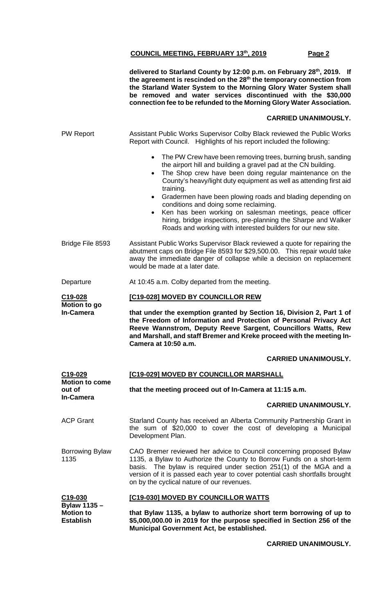**delivered to Starland County by 12:00 p.m. on February 28th, 2019. If the agreement is rescinded on the 28th the temporary connection from the Starland Water System to the Morning Glory Water System shall be removed and water services discontinued with the \$30,000 connection fee to be refunded to the Morning Glory Water Association.**

# **CARRIED UNANIMOUSLY.**

| <b>PW Report</b>                           | Assistant Public Works Supervisor Colby Black reviewed the Public Works<br>Report with Council. Highlights of his report included the following:                                                                                                                                                                                                 |  |  |
|--------------------------------------------|--------------------------------------------------------------------------------------------------------------------------------------------------------------------------------------------------------------------------------------------------------------------------------------------------------------------------------------------------|--|--|
|                                            | • The PW Crew have been removing trees, burning brush, sanding<br>the airport hill and building a gravel pad at the CN building.<br>The Shop crew have been doing regular maintenance on the<br>$\bullet$<br>County's heavy/light duty equipment as well as attending first aid<br>training.                                                     |  |  |
|                                            | Gradermen have been plowing roads and blading depending on<br>$\bullet$<br>conditions and doing some reclaiming.<br>Ken has been working on salesman meetings, peace officer<br>hiring, bridge inspections, pre-planning the Sharpe and Walker                                                                                                   |  |  |
|                                            | Roads and working with interested builders for our new site.                                                                                                                                                                                                                                                                                     |  |  |
| Bridge File 8593                           | Assistant Public Works Supervisor Black reviewed a quote for repairing the<br>abutment caps on Bridge File 8593 for \$29,500.00. This repair would take<br>away the immediate danger of collapse while a decision on replacement<br>would be made at a later date.                                                                               |  |  |
| Departure                                  | At 10:45 a.m. Colby departed from the meeting.                                                                                                                                                                                                                                                                                                   |  |  |
| C <sub>19</sub> -028<br>Motion to go       | [C19-028] MOVED BY COUNCILLOR REW                                                                                                                                                                                                                                                                                                                |  |  |
| <b>In-Camera</b>                           | that under the exemption granted by Section 16, Division 2, Part 1 of<br>the Freedom of Information and Protection of Personal Privacy Act<br>Reeve Wannstrom, Deputy Reeve Sargent, Councillors Watts, Rew<br>and Marshall, and staff Bremer and Kreke proceed with the meeting In-<br>Camera at 10:50 a.m.                                     |  |  |
|                                            | <b>CARRIED UNANIMOUSLY.</b>                                                                                                                                                                                                                                                                                                                      |  |  |
| C19-029<br><b>Motion to come</b><br>out of | [C19-029] MOVED BY COUNCILLOR MARSHALL                                                                                                                                                                                                                                                                                                           |  |  |
|                                            | that the meeting proceed out of In-Camera at 11:15 a.m.                                                                                                                                                                                                                                                                                          |  |  |
| <b>In-Camera</b>                           | <b>CARRIED UNANIMOUSLY.</b>                                                                                                                                                                                                                                                                                                                      |  |  |
| <b>ACP Grant</b>                           | Starland County has received an Alberta Community Partnership Grant in                                                                                                                                                                                                                                                                           |  |  |
|                                            | the sum of \$20,000 to cover the cost of developing a Municipal<br>Development Plan.                                                                                                                                                                                                                                                             |  |  |
| <b>Borrowing Bylaw</b><br>1135             | CAO Bremer reviewed her advice to Council concerning proposed Bylaw<br>1135, a Bylaw to Authorize the County to Borrow Funds on a short-term<br>basis. The bylaw is required under section 251(1) of the MGA and a<br>version of it is passed each year to cover potential cash shortfalls brought<br>on by the cyclical nature of our revenues. |  |  |
| C19-030<br>Bylaw 1135-                     | [C19-030] MOVED BY COUNCILLOR WATTS                                                                                                                                                                                                                                                                                                              |  |  |

#### **CARRIED UNANIMOUSLY.**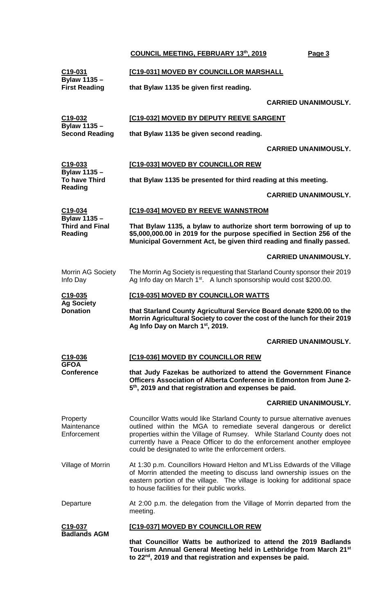| C <sub>19</sub> -031                             | [C19-031] MOVED BY COUNCILLOR MARSHALL                                                                                                                                                                                                                                                                                                                      |  |  |
|--------------------------------------------------|-------------------------------------------------------------------------------------------------------------------------------------------------------------------------------------------------------------------------------------------------------------------------------------------------------------------------------------------------------------|--|--|
| <b>Bylaw 1135 -</b><br><b>First Reading</b>      | that Bylaw 1135 be given first reading.                                                                                                                                                                                                                                                                                                                     |  |  |
|                                                  | <b>CARRIED UNANIMOUSLY.</b>                                                                                                                                                                                                                                                                                                                                 |  |  |
| C19-032<br>Bylaw 1135 -<br><b>Second Reading</b> | [C19-032] MOVED BY DEPUTY REEVE SARGENT                                                                                                                                                                                                                                                                                                                     |  |  |
|                                                  | that Bylaw 1135 be given second reading.                                                                                                                                                                                                                                                                                                                    |  |  |
|                                                  | <b>CARRIED UNANIMOUSLY.</b>                                                                                                                                                                                                                                                                                                                                 |  |  |
| C <sub>19</sub> -033<br>Bylaw 1135 -             | [C19-033] MOVED BY COUNCILLOR REW                                                                                                                                                                                                                                                                                                                           |  |  |
| <b>To have Third</b><br><b>Reading</b>           | that Bylaw 1135 be presented for third reading at this meeting.                                                                                                                                                                                                                                                                                             |  |  |
|                                                  | <b>CARRIED UNANIMOUSLY.</b>                                                                                                                                                                                                                                                                                                                                 |  |  |
| C19-034<br>Bylaw 1135 -                          | [C19-034] MOVED BY REEVE WANNSTROM                                                                                                                                                                                                                                                                                                                          |  |  |
| <b>Third and Final</b><br>Reading                | That Bylaw 1135, a bylaw to authorize short term borrowing of up to<br>\$5,000,000.00 in 2019 for the purpose specified in Section 256 of the<br>Municipal Government Act, be given third reading and finally passed.                                                                                                                                       |  |  |
|                                                  | <b>CARRIED UNANIMOUSLY.</b>                                                                                                                                                                                                                                                                                                                                 |  |  |
| <b>Morrin AG Society</b><br>Info Day             | The Morrin Ag Society is requesting that Starland County sponsor their 2019<br>Ag Info day on March 1 <sup>st</sup> . A lunch sponsorship would cost \$200.00.                                                                                                                                                                                              |  |  |
| C <sub>19</sub> -035                             | [C19-035] MOVED BY COUNCILLOR WATTS                                                                                                                                                                                                                                                                                                                         |  |  |
|                                                  |                                                                                                                                                                                                                                                                                                                                                             |  |  |
| <b>Ag Society</b><br><b>Donation</b>             | that Starland County Agricultural Service Board donate \$200.00 to the<br>Morrin Agricultural Society to cover the cost of the lunch for their 2019<br>Ag Info Day on March 1st, 2019.                                                                                                                                                                      |  |  |
|                                                  | <b>CARRIED UNANIMOUSLY.</b>                                                                                                                                                                                                                                                                                                                                 |  |  |
| C <sub>19</sub> -036<br><b>GFOA</b>              | [C19-036] MOVED BY COUNCILLOR REW                                                                                                                                                                                                                                                                                                                           |  |  |
| <b>Conference</b>                                | that Judy Fazekas be authorized to attend the Government Finance<br>Officers Association of Alberta Conference in Edmonton from June 2-<br>5 <sup>th</sup> , 2019 and that registration and expenses be paid.                                                                                                                                               |  |  |
|                                                  | <b>CARRIED UNANIMOUSLY.</b>                                                                                                                                                                                                                                                                                                                                 |  |  |
| Property<br>Maintenance<br>Enforcement           | Councillor Watts would like Starland County to pursue alternative avenues<br>outlined within the MGA to remediate several dangerous or derelict<br>properties within the Village of Rumsey. While Starland County does not<br>currently have a Peace Officer to do the enforcement another employee<br>could be designated to write the enforcement orders. |  |  |
| Village of Morrin                                | At 1:30 p.m. Councillors Howard Helton and M'Liss Edwards of the Village<br>of Morrin attended the meeting to discuss land ownership issues on the<br>eastern portion of the village. The village is looking for additional space<br>to house facilities for their public works.                                                                            |  |  |

#### **C19-037 Badlands AGM [C19-037] MOVED BY COUNCILLOR REW**

**that Councillor Watts be authorized to attend the 2019 Badlands Tourism Annual General Meeting held in Lethbridge from March 21st to 22nd, 2019 and that registration and expenses be paid.**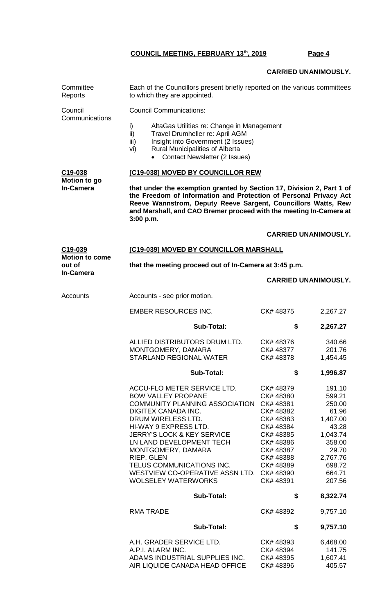Each of the Councillors present briefly reported on the various committees

**Committee** 

## **CARRIED UNANIMOUSLY.**

| Reports                          | to which they are appointed.                                                                                                                                                                                                                                                                                                                                                                                                                                     |                                                                                                                                                                  |                                                                                                                                                                       |  |
|----------------------------------|------------------------------------------------------------------------------------------------------------------------------------------------------------------------------------------------------------------------------------------------------------------------------------------------------------------------------------------------------------------------------------------------------------------------------------------------------------------|------------------------------------------------------------------------------------------------------------------------------------------------------------------|-----------------------------------------------------------------------------------------------------------------------------------------------------------------------|--|
| Council<br>Communications        | <b>Council Communications:</b>                                                                                                                                                                                                                                                                                                                                                                                                                                   |                                                                                                                                                                  |                                                                                                                                                                       |  |
|                                  | i)<br>AltaGas Utilities re: Change in Management<br>ii)<br>Travel Drumheller re: April AGM<br>Insight into Government (2 Issues)<br>iii)<br>Rural Municipalities of Alberta<br>vi)<br><b>Contact Newsletter (2 Issues)</b>                                                                                                                                                                                                                                       |                                                                                                                                                                  |                                                                                                                                                                       |  |
| C19-038                          | [C19-038] MOVED BY COUNCILLOR REW                                                                                                                                                                                                                                                                                                                                                                                                                                |                                                                                                                                                                  |                                                                                                                                                                       |  |
| Motion to go<br><b>In-Camera</b> | that under the exemption granted by Section 17, Division 2, Part 1 of<br>the Freedom of Information and Protection of Personal Privacy Act<br>Reeve Wannstrom, Deputy Reeve Sargent, Councillors Watts, Rew<br>and Marshall, and CAO Bremer proceed with the meeting In-Camera at<br>3:00 p.m.                                                                                                                                                                   |                                                                                                                                                                  |                                                                                                                                                                       |  |
|                                  |                                                                                                                                                                                                                                                                                                                                                                                                                                                                  |                                                                                                                                                                  | <b>CARRIED UNANIMOUSLY.</b>                                                                                                                                           |  |
| C19-039<br><b>Motion to come</b> | [C19-039] MOVED BY COUNCILLOR MARSHALL                                                                                                                                                                                                                                                                                                                                                                                                                           |                                                                                                                                                                  |                                                                                                                                                                       |  |
| out of<br><b>In-Camera</b>       | that the meeting proceed out of In-Camera at 3:45 p.m.                                                                                                                                                                                                                                                                                                                                                                                                           |                                                                                                                                                                  |                                                                                                                                                                       |  |
|                                  |                                                                                                                                                                                                                                                                                                                                                                                                                                                                  |                                                                                                                                                                  | <b>CARRIED UNANIMOUSLY.</b>                                                                                                                                           |  |
| Accounts                         | Accounts - see prior motion.                                                                                                                                                                                                                                                                                                                                                                                                                                     |                                                                                                                                                                  |                                                                                                                                                                       |  |
|                                  | <b>EMBER RESOURCES INC.</b>                                                                                                                                                                                                                                                                                                                                                                                                                                      | CK#48375                                                                                                                                                         | 2,267.27                                                                                                                                                              |  |
|                                  | <b>Sub-Total:</b>                                                                                                                                                                                                                                                                                                                                                                                                                                                | \$                                                                                                                                                               | 2,267.27                                                                                                                                                              |  |
|                                  | ALLIED DISTRIBUTORS DRUM LTD.<br>MONTGOMERY, DAMARA<br><b>STARLAND REGIONAL WATER</b>                                                                                                                                                                                                                                                                                                                                                                            | CK#48376<br>CK#48377<br>CK#48378                                                                                                                                 | 340.66<br>201.76<br>1,454.45                                                                                                                                          |  |
|                                  | <b>Sub-Total:</b>                                                                                                                                                                                                                                                                                                                                                                                                                                                | \$                                                                                                                                                               | 1,996.87                                                                                                                                                              |  |
|                                  | ACCU-FLO METER SERVICE LTD.<br><b>BOW VALLEY PROPANE</b><br>COMMUNITY PLANNING ASSOCIATION CK# 48381<br><b>DIGITEX CANADA INC.</b><br>DRUM WIRELESS LTD.<br>HI-WAY 9 EXPRESS LTD.<br><b>JERRY'S LOCK &amp; KEY SERVICE</b><br>LN LAND DEVELOPMENT TECH<br>MONTGOMERY, DAMARA<br>RIEP, GLEN<br>TELUS COMMUNICATIONS INC.<br>WESTVIEW CO-OPERATIVE ASSN LTD. CK# 48390<br><b>WOLSELEY WATERWORKS</b><br><b>Sub-Total:</b><br><b>RMA TRADE</b><br><b>Sub-Total:</b> | CK#48379<br>CK# 48380<br>CK# 48382<br>CK#48383<br>CK# 48384<br>CK# 48385<br>CK# 48386<br>CK# 48387<br>CK# 48388<br>CK#48389<br>CK# 48391<br>\$<br>CK#48392<br>\$ | 191.10<br>599.21<br>250.00<br>61.96<br>1,407.00<br>43.28<br>1,043.74<br>358.00<br>29.70<br>2,767.76<br>698.72<br>664.71<br>207.56<br>8,322.74<br>9,757.10<br>9,757.10 |  |
|                                  | A.H. GRADER SERVICE LTD.<br>A.P.I. ALARM INC.                                                                                                                                                                                                                                                                                                                                                                                                                    | CK#48393<br>CK# 48394                                                                                                                                            | 6,468.00<br>141.75                                                                                                                                                    |  |
|                                  | ADAMS INDUSTRIAL SUPPLIES INC.                                                                                                                                                                                                                                                                                                                                                                                                                                   | CK# 48395                                                                                                                                                        | 1,607.41                                                                                                                                                              |  |

AIR LIQUIDE CANADA HEAD OFFICE CK# 48396 405.57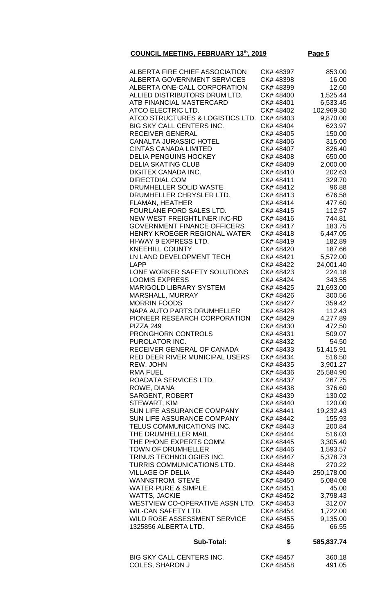| ATCO STRUCTURES & LOGISTICS LTD.<br><b>BIG SKY CALL CENTERS INC.</b><br><b>RECEIVER GENERAL</b><br><b>CANALTA JURASSIC HOTEL</b><br><b>CINTAS CANADA LIMITED</b><br><b>DELIA PENGUINS HOCKEY</b><br><b>DELIA SKATING CLUB</b><br><b>DIGITEX CANADA INC.</b><br>DIRECTDIAL.COM<br>DRUMHELLER SOLID WASTE<br>DRUMHELLER CHRYSLER LTD.<br><b>FLAMAN, HEATHER</b><br>FOURLANE FORD SALES LTD.<br>NEW WEST FREIGHTLINER INC-RD<br><b>GOVERNMENT FINANCE OFFICERS</b><br>HENRY KROEGER REGIONAL WATER<br>HI-WAY 9 EXPRESS LTD.<br><b>KNEEHILL COUNTY</b><br>LN LAND DEVELOPMENT TECH<br>LAPP<br>LONE WORKER SAFETY SOLUTIONS<br><b>LOOMIS EXPRESS</b><br><b>MARIGOLD LIBRARY SYSTEM</b><br>MARSHALL, MURRAY<br><b>MORRIN FOODS</b><br><b>NAPA AUTO PARTS DRUMHELLER</b><br>PIONEER RESEARCH CORPORATION<br>PIZZA 249<br><b>PRONGHORN CONTROLS</b><br>PUROLATOR INC.<br>RECEIVER GENERAL OF CANADA<br>RED DEER RIVER MUNICIPAL USERS<br>REW, JOHN<br><b>RMA FUEL</b><br>ROADATA SERVICES LTD.<br>ROWE, DIANA<br><b>SARGENT, ROBERT</b><br>STEWART, KIM<br>SUN LIFE ASSURANCE COMPANY<br>SUN LIFE ASSURANCE COMPANY<br>TELUS COMMUNICATIONS INC.<br>THE DRUMHELLER MAIL<br>THE PHONE EXPERTS COMM<br><b>TOWN OF DRUMHELLER</b><br>TRINUS TECHNOLOGIES INC.<br>TURRIS COMMUNICATIONS LTD.<br><b>VILLAGE OF DELIA</b><br><b>WANNSTROM, STEVE</b><br><b>WATER PURE &amp; SIMPLE</b><br><b>WATTS, JACKIE</b><br>WESTVIEW CO-OPERATIVE ASSN LTD.<br><b>WIL-CAN SAFETY LTD.</b><br>WILD ROSE ASSESSMENT SERVICE<br>1325856 ALBERTA LTD. | CK#48407<br>CK#48408<br>CK#48409<br>CK#48410<br>CK# 48411<br>CK#48412<br>CK#48413<br>CK# 48414<br>CK#48415<br>CK#48416<br>CK#48417<br>CK#48418<br>CK#48419<br>CK# 48420<br>CK# 48421<br>CK# 48422<br>CK#48423<br>CK# 48424<br>CK# 48425<br>CK#48426<br>CK# 48427<br>CK#48428<br>CK# 48429<br>CK# 48430<br>CK# 48431<br>CK# 48432<br>CK#48433<br>CK# 48434<br>CK# 48435<br>CK# 48436<br>CK#48437<br>CK# 48438<br>CK# 48439<br>CK# 48440<br>CK# 48441<br>CK# 48442<br>CK#48443<br>CK# 48444<br>CK# 48445<br>CK# 48446<br>CK# 48447<br>CK# 48448<br>CK# 48449<br>CK# 48450<br>CK# 48451<br>CK# 48452<br>CK# 48453<br>CK# 48454<br>CK# 48455<br>CK# 48456 | 477.60<br>112.57<br>744.81<br>183.75<br>6,447.05<br>182.89<br>187.66<br>5,572.00<br>24,001.40<br>224.18<br>343.55<br>21,693.00<br>300.56<br>359.42<br>112.43<br>4,277.89<br>472.50<br>509.07<br>54.50<br>51,415.91<br>516.50<br>3,901.27<br>25,584.90<br>267.75<br>376.60<br>130.02<br>120.00<br>19,232.43<br>155.93<br>200.84<br>516.03<br>3,305.40<br>1,593.57<br>5,378.73<br>270.22<br>250,178.00<br>5,084.08<br>45.00<br>3,798.43<br>312.07<br>1,722.00<br>9,135.00<br>66.55 |
|---------------------------------------------------------------------------------------------------------------------------------------------------------------------------------------------------------------------------------------------------------------------------------------------------------------------------------------------------------------------------------------------------------------------------------------------------------------------------------------------------------------------------------------------------------------------------------------------------------------------------------------------------------------------------------------------------------------------------------------------------------------------------------------------------------------------------------------------------------------------------------------------------------------------------------------------------------------------------------------------------------------------------------------------------------------------------------------------------------------------------------------------------------------------------------------------------------------------------------------------------------------------------------------------------------------------------------------------------------------------------------------------------------------------------------------------------------------------------------------------------------------------------|-------------------------------------------------------------------------------------------------------------------------------------------------------------------------------------------------------------------------------------------------------------------------------------------------------------------------------------------------------------------------------------------------------------------------------------------------------------------------------------------------------------------------------------------------------------------------------------------------------------------------------------------------------|----------------------------------------------------------------------------------------------------------------------------------------------------------------------------------------------------------------------------------------------------------------------------------------------------------------------------------------------------------------------------------------------------------------------------------------------------------------------------------|
|                                                                                                                                                                                                                                                                                                                                                                                                                                                                                                                                                                                                                                                                                                                                                                                                                                                                                                                                                                                                                                                                                                                                                                                                                                                                                                                                                                                                                                                                                                                           |                                                                                                                                                                                                                                                                                                                                                                                                                                                                                                                                                                                                                                                       |                                                                                                                                                                                                                                                                                                                                                                                                                                                                                  |
|                                                                                                                                                                                                                                                                                                                                                                                                                                                                                                                                                                                                                                                                                                                                                                                                                                                                                                                                                                                                                                                                                                                                                                                                                                                                                                                                                                                                                                                                                                                           |                                                                                                                                                                                                                                                                                                                                                                                                                                                                                                                                                                                                                                                       |                                                                                                                                                                                                                                                                                                                                                                                                                                                                                  |
|                                                                                                                                                                                                                                                                                                                                                                                                                                                                                                                                                                                                                                                                                                                                                                                                                                                                                                                                                                                                                                                                                                                                                                                                                                                                                                                                                                                                                                                                                                                           |                                                                                                                                                                                                                                                                                                                                                                                                                                                                                                                                                                                                                                                       |                                                                                                                                                                                                                                                                                                                                                                                                                                                                                  |
|                                                                                                                                                                                                                                                                                                                                                                                                                                                                                                                                                                                                                                                                                                                                                                                                                                                                                                                                                                                                                                                                                                                                                                                                                                                                                                                                                                                                                                                                                                                           |                                                                                                                                                                                                                                                                                                                                                                                                                                                                                                                                                                                                                                                       |                                                                                                                                                                                                                                                                                                                                                                                                                                                                                  |
|                                                                                                                                                                                                                                                                                                                                                                                                                                                                                                                                                                                                                                                                                                                                                                                                                                                                                                                                                                                                                                                                                                                                                                                                                                                                                                                                                                                                                                                                                                                           |                                                                                                                                                                                                                                                                                                                                                                                                                                                                                                                                                                                                                                                       |                                                                                                                                                                                                                                                                                                                                                                                                                                                                                  |
|                                                                                                                                                                                                                                                                                                                                                                                                                                                                                                                                                                                                                                                                                                                                                                                                                                                                                                                                                                                                                                                                                                                                                                                                                                                                                                                                                                                                                                                                                                                           |                                                                                                                                                                                                                                                                                                                                                                                                                                                                                                                                                                                                                                                       |                                                                                                                                                                                                                                                                                                                                                                                                                                                                                  |
|                                                                                                                                                                                                                                                                                                                                                                                                                                                                                                                                                                                                                                                                                                                                                                                                                                                                                                                                                                                                                                                                                                                                                                                                                                                                                                                                                                                                                                                                                                                           |                                                                                                                                                                                                                                                                                                                                                                                                                                                                                                                                                                                                                                                       |                                                                                                                                                                                                                                                                                                                                                                                                                                                                                  |
|                                                                                                                                                                                                                                                                                                                                                                                                                                                                                                                                                                                                                                                                                                                                                                                                                                                                                                                                                                                                                                                                                                                                                                                                                                                                                                                                                                                                                                                                                                                           |                                                                                                                                                                                                                                                                                                                                                                                                                                                                                                                                                                                                                                                       |                                                                                                                                                                                                                                                                                                                                                                                                                                                                                  |
|                                                                                                                                                                                                                                                                                                                                                                                                                                                                                                                                                                                                                                                                                                                                                                                                                                                                                                                                                                                                                                                                                                                                                                                                                                                                                                                                                                                                                                                                                                                           |                                                                                                                                                                                                                                                                                                                                                                                                                                                                                                                                                                                                                                                       |                                                                                                                                                                                                                                                                                                                                                                                                                                                                                  |
|                                                                                                                                                                                                                                                                                                                                                                                                                                                                                                                                                                                                                                                                                                                                                                                                                                                                                                                                                                                                                                                                                                                                                                                                                                                                                                                                                                                                                                                                                                                           |                                                                                                                                                                                                                                                                                                                                                                                                                                                                                                                                                                                                                                                       |                                                                                                                                                                                                                                                                                                                                                                                                                                                                                  |
|                                                                                                                                                                                                                                                                                                                                                                                                                                                                                                                                                                                                                                                                                                                                                                                                                                                                                                                                                                                                                                                                                                                                                                                                                                                                                                                                                                                                                                                                                                                           |                                                                                                                                                                                                                                                                                                                                                                                                                                                                                                                                                                                                                                                       |                                                                                                                                                                                                                                                                                                                                                                                                                                                                                  |
|                                                                                                                                                                                                                                                                                                                                                                                                                                                                                                                                                                                                                                                                                                                                                                                                                                                                                                                                                                                                                                                                                                                                                                                                                                                                                                                                                                                                                                                                                                                           |                                                                                                                                                                                                                                                                                                                                                                                                                                                                                                                                                                                                                                                       |                                                                                                                                                                                                                                                                                                                                                                                                                                                                                  |
|                                                                                                                                                                                                                                                                                                                                                                                                                                                                                                                                                                                                                                                                                                                                                                                                                                                                                                                                                                                                                                                                                                                                                                                                                                                                                                                                                                                                                                                                                                                           |                                                                                                                                                                                                                                                                                                                                                                                                                                                                                                                                                                                                                                                       |                                                                                                                                                                                                                                                                                                                                                                                                                                                                                  |
|                                                                                                                                                                                                                                                                                                                                                                                                                                                                                                                                                                                                                                                                                                                                                                                                                                                                                                                                                                                                                                                                                                                                                                                                                                                                                                                                                                                                                                                                                                                           |                                                                                                                                                                                                                                                                                                                                                                                                                                                                                                                                                                                                                                                       |                                                                                                                                                                                                                                                                                                                                                                                                                                                                                  |
|                                                                                                                                                                                                                                                                                                                                                                                                                                                                                                                                                                                                                                                                                                                                                                                                                                                                                                                                                                                                                                                                                                                                                                                                                                                                                                                                                                                                                                                                                                                           |                                                                                                                                                                                                                                                                                                                                                                                                                                                                                                                                                                                                                                                       |                                                                                                                                                                                                                                                                                                                                                                                                                                                                                  |
|                                                                                                                                                                                                                                                                                                                                                                                                                                                                                                                                                                                                                                                                                                                                                                                                                                                                                                                                                                                                                                                                                                                                                                                                                                                                                                                                                                                                                                                                                                                           |                                                                                                                                                                                                                                                                                                                                                                                                                                                                                                                                                                                                                                                       |                                                                                                                                                                                                                                                                                                                                                                                                                                                                                  |
|                                                                                                                                                                                                                                                                                                                                                                                                                                                                                                                                                                                                                                                                                                                                                                                                                                                                                                                                                                                                                                                                                                                                                                                                                                                                                                                                                                                                                                                                                                                           |                                                                                                                                                                                                                                                                                                                                                                                                                                                                                                                                                                                                                                                       |                                                                                                                                                                                                                                                                                                                                                                                                                                                                                  |
|                                                                                                                                                                                                                                                                                                                                                                                                                                                                                                                                                                                                                                                                                                                                                                                                                                                                                                                                                                                                                                                                                                                                                                                                                                                                                                                                                                                                                                                                                                                           |                                                                                                                                                                                                                                                                                                                                                                                                                                                                                                                                                                                                                                                       |                                                                                                                                                                                                                                                                                                                                                                                                                                                                                  |
|                                                                                                                                                                                                                                                                                                                                                                                                                                                                                                                                                                                                                                                                                                                                                                                                                                                                                                                                                                                                                                                                                                                                                                                                                                                                                                                                                                                                                                                                                                                           |                                                                                                                                                                                                                                                                                                                                                                                                                                                                                                                                                                                                                                                       |                                                                                                                                                                                                                                                                                                                                                                                                                                                                                  |
|                                                                                                                                                                                                                                                                                                                                                                                                                                                                                                                                                                                                                                                                                                                                                                                                                                                                                                                                                                                                                                                                                                                                                                                                                                                                                                                                                                                                                                                                                                                           |                                                                                                                                                                                                                                                                                                                                                                                                                                                                                                                                                                                                                                                       |                                                                                                                                                                                                                                                                                                                                                                                                                                                                                  |
|                                                                                                                                                                                                                                                                                                                                                                                                                                                                                                                                                                                                                                                                                                                                                                                                                                                                                                                                                                                                                                                                                                                                                                                                                                                                                                                                                                                                                                                                                                                           |                                                                                                                                                                                                                                                                                                                                                                                                                                                                                                                                                                                                                                                       |                                                                                                                                                                                                                                                                                                                                                                                                                                                                                  |
|                                                                                                                                                                                                                                                                                                                                                                                                                                                                                                                                                                                                                                                                                                                                                                                                                                                                                                                                                                                                                                                                                                                                                                                                                                                                                                                                                                                                                                                                                                                           |                                                                                                                                                                                                                                                                                                                                                                                                                                                                                                                                                                                                                                                       |                                                                                                                                                                                                                                                                                                                                                                                                                                                                                  |
|                                                                                                                                                                                                                                                                                                                                                                                                                                                                                                                                                                                                                                                                                                                                                                                                                                                                                                                                                                                                                                                                                                                                                                                                                                                                                                                                                                                                                                                                                                                           |                                                                                                                                                                                                                                                                                                                                                                                                                                                                                                                                                                                                                                                       |                                                                                                                                                                                                                                                                                                                                                                                                                                                                                  |
|                                                                                                                                                                                                                                                                                                                                                                                                                                                                                                                                                                                                                                                                                                                                                                                                                                                                                                                                                                                                                                                                                                                                                                                                                                                                                                                                                                                                                                                                                                                           |                                                                                                                                                                                                                                                                                                                                                                                                                                                                                                                                                                                                                                                       |                                                                                                                                                                                                                                                                                                                                                                                                                                                                                  |
|                                                                                                                                                                                                                                                                                                                                                                                                                                                                                                                                                                                                                                                                                                                                                                                                                                                                                                                                                                                                                                                                                                                                                                                                                                                                                                                                                                                                                                                                                                                           |                                                                                                                                                                                                                                                                                                                                                                                                                                                                                                                                                                                                                                                       |                                                                                                                                                                                                                                                                                                                                                                                                                                                                                  |
|                                                                                                                                                                                                                                                                                                                                                                                                                                                                                                                                                                                                                                                                                                                                                                                                                                                                                                                                                                                                                                                                                                                                                                                                                                                                                                                                                                                                                                                                                                                           |                                                                                                                                                                                                                                                                                                                                                                                                                                                                                                                                                                                                                                                       |                                                                                                                                                                                                                                                                                                                                                                                                                                                                                  |
|                                                                                                                                                                                                                                                                                                                                                                                                                                                                                                                                                                                                                                                                                                                                                                                                                                                                                                                                                                                                                                                                                                                                                                                                                                                                                                                                                                                                                                                                                                                           |                                                                                                                                                                                                                                                                                                                                                                                                                                                                                                                                                                                                                                                       |                                                                                                                                                                                                                                                                                                                                                                                                                                                                                  |
|                                                                                                                                                                                                                                                                                                                                                                                                                                                                                                                                                                                                                                                                                                                                                                                                                                                                                                                                                                                                                                                                                                                                                                                                                                                                                                                                                                                                                                                                                                                           |                                                                                                                                                                                                                                                                                                                                                                                                                                                                                                                                                                                                                                                       |                                                                                                                                                                                                                                                                                                                                                                                                                                                                                  |
|                                                                                                                                                                                                                                                                                                                                                                                                                                                                                                                                                                                                                                                                                                                                                                                                                                                                                                                                                                                                                                                                                                                                                                                                                                                                                                                                                                                                                                                                                                                           |                                                                                                                                                                                                                                                                                                                                                                                                                                                                                                                                                                                                                                                       |                                                                                                                                                                                                                                                                                                                                                                                                                                                                                  |
|                                                                                                                                                                                                                                                                                                                                                                                                                                                                                                                                                                                                                                                                                                                                                                                                                                                                                                                                                                                                                                                                                                                                                                                                                                                                                                                                                                                                                                                                                                                           |                                                                                                                                                                                                                                                                                                                                                                                                                                                                                                                                                                                                                                                       |                                                                                                                                                                                                                                                                                                                                                                                                                                                                                  |
|                                                                                                                                                                                                                                                                                                                                                                                                                                                                                                                                                                                                                                                                                                                                                                                                                                                                                                                                                                                                                                                                                                                                                                                                                                                                                                                                                                                                                                                                                                                           |                                                                                                                                                                                                                                                                                                                                                                                                                                                                                                                                                                                                                                                       |                                                                                                                                                                                                                                                                                                                                                                                                                                                                                  |
|                                                                                                                                                                                                                                                                                                                                                                                                                                                                                                                                                                                                                                                                                                                                                                                                                                                                                                                                                                                                                                                                                                                                                                                                                                                                                                                                                                                                                                                                                                                           |                                                                                                                                                                                                                                                                                                                                                                                                                                                                                                                                                                                                                                                       |                                                                                                                                                                                                                                                                                                                                                                                                                                                                                  |
|                                                                                                                                                                                                                                                                                                                                                                                                                                                                                                                                                                                                                                                                                                                                                                                                                                                                                                                                                                                                                                                                                                                                                                                                                                                                                                                                                                                                                                                                                                                           |                                                                                                                                                                                                                                                                                                                                                                                                                                                                                                                                                                                                                                                       |                                                                                                                                                                                                                                                                                                                                                                                                                                                                                  |
|                                                                                                                                                                                                                                                                                                                                                                                                                                                                                                                                                                                                                                                                                                                                                                                                                                                                                                                                                                                                                                                                                                                                                                                                                                                                                                                                                                                                                                                                                                                           |                                                                                                                                                                                                                                                                                                                                                                                                                                                                                                                                                                                                                                                       |                                                                                                                                                                                                                                                                                                                                                                                                                                                                                  |
|                                                                                                                                                                                                                                                                                                                                                                                                                                                                                                                                                                                                                                                                                                                                                                                                                                                                                                                                                                                                                                                                                                                                                                                                                                                                                                                                                                                                                                                                                                                           |                                                                                                                                                                                                                                                                                                                                                                                                                                                                                                                                                                                                                                                       |                                                                                                                                                                                                                                                                                                                                                                                                                                                                                  |
|                                                                                                                                                                                                                                                                                                                                                                                                                                                                                                                                                                                                                                                                                                                                                                                                                                                                                                                                                                                                                                                                                                                                                                                                                                                                                                                                                                                                                                                                                                                           |                                                                                                                                                                                                                                                                                                                                                                                                                                                                                                                                                                                                                                                       |                                                                                                                                                                                                                                                                                                                                                                                                                                                                                  |
|                                                                                                                                                                                                                                                                                                                                                                                                                                                                                                                                                                                                                                                                                                                                                                                                                                                                                                                                                                                                                                                                                                                                                                                                                                                                                                                                                                                                                                                                                                                           |                                                                                                                                                                                                                                                                                                                                                                                                                                                                                                                                                                                                                                                       |                                                                                                                                                                                                                                                                                                                                                                                                                                                                                  |
|                                                                                                                                                                                                                                                                                                                                                                                                                                                                                                                                                                                                                                                                                                                                                                                                                                                                                                                                                                                                                                                                                                                                                                                                                                                                                                                                                                                                                                                                                                                           |                                                                                                                                                                                                                                                                                                                                                                                                                                                                                                                                                                                                                                                       |                                                                                                                                                                                                                                                                                                                                                                                                                                                                                  |
|                                                                                                                                                                                                                                                                                                                                                                                                                                                                                                                                                                                                                                                                                                                                                                                                                                                                                                                                                                                                                                                                                                                                                                                                                                                                                                                                                                                                                                                                                                                           |                                                                                                                                                                                                                                                                                                                                                                                                                                                                                                                                                                                                                                                       |                                                                                                                                                                                                                                                                                                                                                                                                                                                                                  |
|                                                                                                                                                                                                                                                                                                                                                                                                                                                                                                                                                                                                                                                                                                                                                                                                                                                                                                                                                                                                                                                                                                                                                                                                                                                                                                                                                                                                                                                                                                                           |                                                                                                                                                                                                                                                                                                                                                                                                                                                                                                                                                                                                                                                       |                                                                                                                                                                                                                                                                                                                                                                                                                                                                                  |
|                                                                                                                                                                                                                                                                                                                                                                                                                                                                                                                                                                                                                                                                                                                                                                                                                                                                                                                                                                                                                                                                                                                                                                                                                                                                                                                                                                                                                                                                                                                           |                                                                                                                                                                                                                                                                                                                                                                                                                                                                                                                                                                                                                                                       |                                                                                                                                                                                                                                                                                                                                                                                                                                                                                  |
|                                                                                                                                                                                                                                                                                                                                                                                                                                                                                                                                                                                                                                                                                                                                                                                                                                                                                                                                                                                                                                                                                                                                                                                                                                                                                                                                                                                                                                                                                                                           |                                                                                                                                                                                                                                                                                                                                                                                                                                                                                                                                                                                                                                                       |                                                                                                                                                                                                                                                                                                                                                                                                                                                                                  |
|                                                                                                                                                                                                                                                                                                                                                                                                                                                                                                                                                                                                                                                                                                                                                                                                                                                                                                                                                                                                                                                                                                                                                                                                                                                                                                                                                                                                                                                                                                                           |                                                                                                                                                                                                                                                                                                                                                                                                                                                                                                                                                                                                                                                       |                                                                                                                                                                                                                                                                                                                                                                                                                                                                                  |
|                                                                                                                                                                                                                                                                                                                                                                                                                                                                                                                                                                                                                                                                                                                                                                                                                                                                                                                                                                                                                                                                                                                                                                                                                                                                                                                                                                                                                                                                                                                           |                                                                                                                                                                                                                                                                                                                                                                                                                                                                                                                                                                                                                                                       |                                                                                                                                                                                                                                                                                                                                                                                                                                                                                  |
|                                                                                                                                                                                                                                                                                                                                                                                                                                                                                                                                                                                                                                                                                                                                                                                                                                                                                                                                                                                                                                                                                                                                                                                                                                                                                                                                                                                                                                                                                                                           |                                                                                                                                                                                                                                                                                                                                                                                                                                                                                                                                                                                                                                                       |                                                                                                                                                                                                                                                                                                                                                                                                                                                                                  |
|                                                                                                                                                                                                                                                                                                                                                                                                                                                                                                                                                                                                                                                                                                                                                                                                                                                                                                                                                                                                                                                                                                                                                                                                                                                                                                                                                                                                                                                                                                                           |                                                                                                                                                                                                                                                                                                                                                                                                                                                                                                                                                                                                                                                       | 676.58                                                                                                                                                                                                                                                                                                                                                                                                                                                                           |
|                                                                                                                                                                                                                                                                                                                                                                                                                                                                                                                                                                                                                                                                                                                                                                                                                                                                                                                                                                                                                                                                                                                                                                                                                                                                                                                                                                                                                                                                                                                           |                                                                                                                                                                                                                                                                                                                                                                                                                                                                                                                                                                                                                                                       | 96.88                                                                                                                                                                                                                                                                                                                                                                                                                                                                            |
|                                                                                                                                                                                                                                                                                                                                                                                                                                                                                                                                                                                                                                                                                                                                                                                                                                                                                                                                                                                                                                                                                                                                                                                                                                                                                                                                                                                                                                                                                                                           |                                                                                                                                                                                                                                                                                                                                                                                                                                                                                                                                                                                                                                                       | 329.70                                                                                                                                                                                                                                                                                                                                                                                                                                                                           |
|                                                                                                                                                                                                                                                                                                                                                                                                                                                                                                                                                                                                                                                                                                                                                                                                                                                                                                                                                                                                                                                                                                                                                                                                                                                                                                                                                                                                                                                                                                                           |                                                                                                                                                                                                                                                                                                                                                                                                                                                                                                                                                                                                                                                       | 202.63                                                                                                                                                                                                                                                                                                                                                                                                                                                                           |
|                                                                                                                                                                                                                                                                                                                                                                                                                                                                                                                                                                                                                                                                                                                                                                                                                                                                                                                                                                                                                                                                                                                                                                                                                                                                                                                                                                                                                                                                                                                           |                                                                                                                                                                                                                                                                                                                                                                                                                                                                                                                                                                                                                                                       | 2,000.00                                                                                                                                                                                                                                                                                                                                                                                                                                                                         |
|                                                                                                                                                                                                                                                                                                                                                                                                                                                                                                                                                                                                                                                                                                                                                                                                                                                                                                                                                                                                                                                                                                                                                                                                                                                                                                                                                                                                                                                                                                                           |                                                                                                                                                                                                                                                                                                                                                                                                                                                                                                                                                                                                                                                       | 650.00                                                                                                                                                                                                                                                                                                                                                                                                                                                                           |
|                                                                                                                                                                                                                                                                                                                                                                                                                                                                                                                                                                                                                                                                                                                                                                                                                                                                                                                                                                                                                                                                                                                                                                                                                                                                                                                                                                                                                                                                                                                           |                                                                                                                                                                                                                                                                                                                                                                                                                                                                                                                                                                                                                                                       | 826.40                                                                                                                                                                                                                                                                                                                                                                                                                                                                           |
|                                                                                                                                                                                                                                                                                                                                                                                                                                                                                                                                                                                                                                                                                                                                                                                                                                                                                                                                                                                                                                                                                                                                                                                                                                                                                                                                                                                                                                                                                                                           | CK#48406                                                                                                                                                                                                                                                                                                                                                                                                                                                                                                                                                                                                                                              | 315.00                                                                                                                                                                                                                                                                                                                                                                                                                                                                           |
|                                                                                                                                                                                                                                                                                                                                                                                                                                                                                                                                                                                                                                                                                                                                                                                                                                                                                                                                                                                                                                                                                                                                                                                                                                                                                                                                                                                                                                                                                                                           | CK#48405                                                                                                                                                                                                                                                                                                                                                                                                                                                                                                                                                                                                                                              | 150.00                                                                                                                                                                                                                                                                                                                                                                                                                                                                           |
|                                                                                                                                                                                                                                                                                                                                                                                                                                                                                                                                                                                                                                                                                                                                                                                                                                                                                                                                                                                                                                                                                                                                                                                                                                                                                                                                                                                                                                                                                                                           | CK#48404                                                                                                                                                                                                                                                                                                                                                                                                                                                                                                                                                                                                                                              | 623.97                                                                                                                                                                                                                                                                                                                                                                                                                                                                           |
|                                                                                                                                                                                                                                                                                                                                                                                                                                                                                                                                                                                                                                                                                                                                                                                                                                                                                                                                                                                                                                                                                                                                                                                                                                                                                                                                                                                                                                                                                                                           | CK#48403                                                                                                                                                                                                                                                                                                                                                                                                                                                                                                                                                                                                                                              | 9,870.00                                                                                                                                                                                                                                                                                                                                                                                                                                                                         |
| ATCO ELECTRIC LTD.                                                                                                                                                                                                                                                                                                                                                                                                                                                                                                                                                                                                                                                                                                                                                                                                                                                                                                                                                                                                                                                                                                                                                                                                                                                                                                                                                                                                                                                                                                        | CK# 48402                                                                                                                                                                                                                                                                                                                                                                                                                                                                                                                                                                                                                                             | 102,969.30                                                                                                                                                                                                                                                                                                                                                                                                                                                                       |
| ATB FINANCIAL MASTERCARD                                                                                                                                                                                                                                                                                                                                                                                                                                                                                                                                                                                                                                                                                                                                                                                                                                                                                                                                                                                                                                                                                                                                                                                                                                                                                                                                                                                                                                                                                                  | CK#48401                                                                                                                                                                                                                                                                                                                                                                                                                                                                                                                                                                                                                                              |                                                                                                                                                                                                                                                                                                                                                                                                                                                                                  |
| ALLIED DISTRIBUTORS DRUM LTD.                                                                                                                                                                                                                                                                                                                                                                                                                                                                                                                                                                                                                                                                                                                                                                                                                                                                                                                                                                                                                                                                                                                                                                                                                                                                                                                                                                                                                                                                                             | CK#48400                                                                                                                                                                                                                                                                                                                                                                                                                                                                                                                                                                                                                                              | 6,533.45                                                                                                                                                                                                                                                                                                                                                                                                                                                                         |
| ALBERTA ONE-CALL CORPORATION                                                                                                                                                                                                                                                                                                                                                                                                                                                                                                                                                                                                                                                                                                                                                                                                                                                                                                                                                                                                                                                                                                                                                                                                                                                                                                                                                                                                                                                                                              | CK# 48399                                                                                                                                                                                                                                                                                                                                                                                                                                                                                                                                                                                                                                             | 1,525.44                                                                                                                                                                                                                                                                                                                                                                                                                                                                         |
| ALBERTA GOVERNMENT SERVICES                                                                                                                                                                                                                                                                                                                                                                                                                                                                                                                                                                                                                                                                                                                                                                                                                                                                                                                                                                                                                                                                                                                                                                                                                                                                                                                                                                                                                                                                                               | CK#48398                                                                                                                                                                                                                                                                                                                                                                                                                                                                                                                                                                                                                                              | 12.60                                                                                                                                                                                                                                                                                                                                                                                                                                                                            |
| ALBERTA FIRE CHIEF ASSOCIATION                                                                                                                                                                                                                                                                                                                                                                                                                                                                                                                                                                                                                                                                                                                                                                                                                                                                                                                                                                                                                                                                                                                                                                                                                                                                                                                                                                                                                                                                                            | CK# 48397                                                                                                                                                                                                                                                                                                                                                                                                                                                                                                                                                                                                                                             | 853.00<br>16.00                                                                                                                                                                                                                                                                                                                                                                                                                                                                  |

| BIG SKY CALL CENTERS INC. | CK# 48457 | 360.18 |
|---------------------------|-----------|--------|
| <b>COLES, SHARON J</b>    | CK# 48458 | 491.05 |